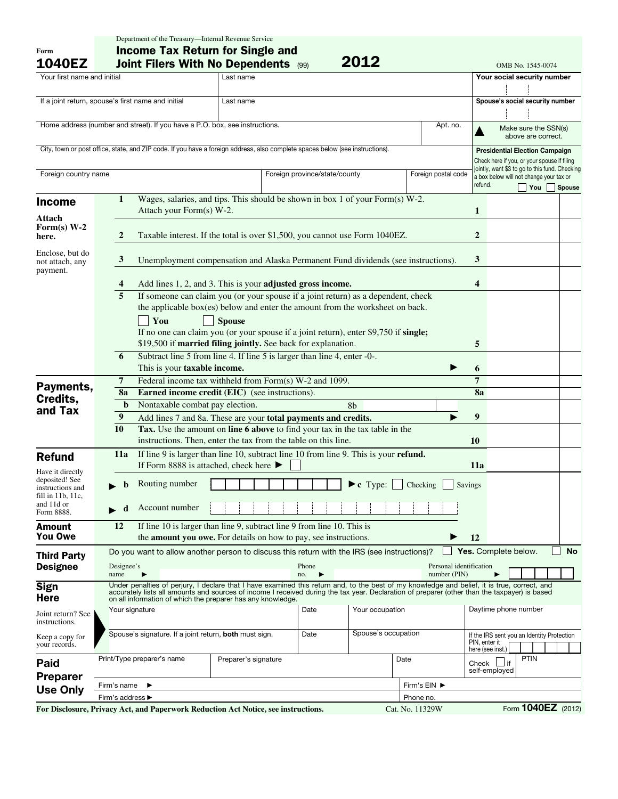| Form<br><b>1040EZ</b>                                                                                                         |                                                                                        | <b>Income Tax Return for Single and</b><br>2012<br>Joint Filers With No Dependents (99)<br>OMB No. 1545-0074                                                                                                                                                                                  |                                                                                             |                               |                     |                     |               |                                                                                      |                                            |           |  |
|-------------------------------------------------------------------------------------------------------------------------------|----------------------------------------------------------------------------------------|-----------------------------------------------------------------------------------------------------------------------------------------------------------------------------------------------------------------------------------------------------------------------------------------------|---------------------------------------------------------------------------------------------|-------------------------------|---------------------|---------------------|---------------|--------------------------------------------------------------------------------------|--------------------------------------------|-----------|--|
| Your first name and initial                                                                                                   |                                                                                        |                                                                                                                                                                                                                                                                                               | Last name                                                                                   |                               |                     |                     |               | Your social security number                                                          |                                            |           |  |
|                                                                                                                               |                                                                                        |                                                                                                                                                                                                                                                                                               |                                                                                             |                               |                     |                     |               |                                                                                      |                                            |           |  |
| If a joint return, spouse's first name and initial<br>Last name                                                               |                                                                                        |                                                                                                                                                                                                                                                                                               |                                                                                             |                               |                     |                     |               | Spouse's social security number                                                      |                                            |           |  |
|                                                                                                                               |                                                                                        |                                                                                                                                                                                                                                                                                               |                                                                                             |                               |                     |                     |               |                                                                                      |                                            |           |  |
|                                                                                                                               |                                                                                        |                                                                                                                                                                                                                                                                                               | Apt. no.                                                                                    |                               |                     |                     |               |                                                                                      |                                            |           |  |
| Home address (number and street). If you have a P.O. box, see instructions.                                                   |                                                                                        |                                                                                                                                                                                                                                                                                               |                                                                                             |                               |                     |                     |               |                                                                                      | Make sure the SSN(s)<br>above are correct. |           |  |
|                                                                                                                               |                                                                                        |                                                                                                                                                                                                                                                                                               |                                                                                             |                               |                     |                     |               |                                                                                      |                                            |           |  |
| City, town or post office, state, and ZIP code. If you have a foreign address, also complete spaces below (see instructions). |                                                                                        |                                                                                                                                                                                                                                                                                               |                                                                                             |                               |                     |                     |               | <b>Presidential Election Campaign</b><br>Check here if you, or your spouse if filing |                                            |           |  |
| Foreign country name                                                                                                          |                                                                                        |                                                                                                                                                                                                                                                                                               |                                                                                             |                               |                     | Foreign postal code |               | jointly, want \$3 to go to this fund. Checking                                       |                                            |           |  |
|                                                                                                                               |                                                                                        |                                                                                                                                                                                                                                                                                               |                                                                                             | Foreign province/state/county |                     |                     | refund.       | a box below will not change your tax or                                              |                                            |           |  |
|                                                                                                                               |                                                                                        |                                                                                                                                                                                                                                                                                               |                                                                                             |                               |                     |                     |               |                                                                                      | You                                        | Spouse    |  |
| <b>Income</b>                                                                                                                 | 1                                                                                      |                                                                                                                                                                                                                                                                                               | Wages, salaries, and tips. This should be shown in box 1 of your Form(s) W-2.               |                               |                     |                     |               |                                                                                      |                                            |           |  |
| Attach                                                                                                                        |                                                                                        | Attach your Form(s) W-2.                                                                                                                                                                                                                                                                      |                                                                                             |                               |                     |                     | 1             |                                                                                      |                                            |           |  |
| Form(s) $W-2$<br>here.                                                                                                        | Taxable interest. If the total is over \$1,500, you cannot use Form 1040EZ.<br>2       |                                                                                                                                                                                                                                                                                               |                                                                                             |                               |                     |                     |               |                                                                                      |                                            |           |  |
| Enclose, but do                                                                                                               |                                                                                        |                                                                                                                                                                                                                                                                                               |                                                                                             |                               |                     |                     | 3             |                                                                                      |                                            |           |  |
| not attach, any<br>payment.                                                                                                   |                                                                                        | 3<br>Unemployment compensation and Alaska Permanent Fund dividends (see instructions).                                                                                                                                                                                                        |                                                                                             |                               |                     |                     |               |                                                                                      |                                            |           |  |
|                                                                                                                               | 4                                                                                      |                                                                                                                                                                                                                                                                                               | Add lines 1, 2, and 3. This is your adjusted gross income.                                  |                               |                     |                     | 4             |                                                                                      |                                            |           |  |
|                                                                                                                               | 5<br>If someone can claim you (or your spouse if a joint return) as a dependent, check |                                                                                                                                                                                                                                                                                               |                                                                                             |                               |                     |                     |               |                                                                                      |                                            |           |  |
|                                                                                                                               |                                                                                        |                                                                                                                                                                                                                                                                                               | the applicable box(es) below and enter the amount from the worksheet on back.               |                               |                     |                     |               |                                                                                      |                                            |           |  |
|                                                                                                                               |                                                                                        | You                                                                                                                                                                                                                                                                                           | <b>Spouse</b>                                                                               |                               |                     |                     |               |                                                                                      |                                            |           |  |
|                                                                                                                               |                                                                                        |                                                                                                                                                                                                                                                                                               | If no one can claim you (or your spouse if a joint return), enter \$9,750 if single;        |                               |                     |                     |               |                                                                                      |                                            |           |  |
|                                                                                                                               |                                                                                        |                                                                                                                                                                                                                                                                                               | \$19,500 if married filing jointly. See back for explanation.                               |                               |                     |                     | 5             |                                                                                      |                                            |           |  |
|                                                                                                                               | 6                                                                                      |                                                                                                                                                                                                                                                                                               | Subtract line 5 from line 4. If line 5 is larger than line 4, enter -0-.                    |                               |                     |                     |               |                                                                                      |                                            |           |  |
|                                                                                                                               |                                                                                        | This is your taxable income.                                                                                                                                                                                                                                                                  |                                                                                             |                               |                     |                     | 6             |                                                                                      |                                            |           |  |
| Payments,<br>Credits,<br>and Tax                                                                                              | 7                                                                                      |                                                                                                                                                                                                                                                                                               | Federal income tax withheld from Form(s) W-2 and 1099.                                      |                               |                     |                     | 7             |                                                                                      |                                            |           |  |
|                                                                                                                               | 8a                                                                                     |                                                                                                                                                                                                                                                                                               | Earned income credit (EIC) (see instructions).                                              |                               |                     |                     | 8a            |                                                                                      |                                            |           |  |
|                                                                                                                               | $\mathbf b$                                                                            | Nontaxable combat pay election.                                                                                                                                                                                                                                                               |                                                                                             |                               | 8b                  |                     |               |                                                                                      |                                            |           |  |
|                                                                                                                               |                                                                                        | $\boldsymbol{9}$<br>Add lines 7 and 8a. These are your total payments and credits.                                                                                                                                                                                                            |                                                                                             |                               |                     |                     |               |                                                                                      |                                            |           |  |
|                                                                                                                               | 10                                                                                     | Tax. Use the amount on line 6 above to find your tax in the tax table in the                                                                                                                                                                                                                  |                                                                                             |                               |                     |                     |               |                                                                                      |                                            |           |  |
|                                                                                                                               |                                                                                        | instructions. Then, enter the tax from the table on this line.                                                                                                                                                                                                                                | 10                                                                                          |                               |                     |                     |               |                                                                                      |                                            |           |  |
| <b>Refund</b>                                                                                                                 | 11a                                                                                    | If line 9 is larger than line 10, subtract line 10 from line 9. This is your refund.<br>If Form 8888 is attached, check here ▶<br>11a                                                                                                                                                         |                                                                                             |                               |                     |                     |               |                                                                                      |                                            |           |  |
| Have it directly<br>deposited! See                                                                                            |                                                                                        |                                                                                                                                                                                                                                                                                               |                                                                                             |                               |                     |                     |               |                                                                                      |                                            |           |  |
| instructions and<br>fill in 11b, 11c,                                                                                         | b                                                                                      | Routing number<br>$\blacktriangleright$ c Type:<br>Checking<br>Savings                                                                                                                                                                                                                        |                                                                                             |                               |                     |                     |               |                                                                                      |                                            |           |  |
| and 11d or<br>Form 8888.                                                                                                      | d                                                                                      | Account number                                                                                                                                                                                                                                                                                |                                                                                             |                               |                     |                     |               |                                                                                      |                                            |           |  |
| <b>Amount</b>                                                                                                                 | 12                                                                                     |                                                                                                                                                                                                                                                                                               | If line 10 is larger than line 9, subtract line 9 from line 10. This is                     |                               |                     |                     |               |                                                                                      |                                            |           |  |
| You Owe                                                                                                                       |                                                                                        |                                                                                                                                                                                                                                                                                               | the <b>amount you owe.</b> For details on how to pay, see instructions.                     |                               |                     |                     | 12            |                                                                                      |                                            |           |  |
| <b>Third Party</b>                                                                                                            |                                                                                        |                                                                                                                                                                                                                                                                                               | Do you want to allow another person to discuss this return with the IRS (see instructions)? |                               |                     |                     |               | Yes. Complete below.                                                                 |                                            | <b>No</b> |  |
| <b>Designee</b>                                                                                                               | Designee's<br>Personal identification<br>Phone<br>number (PIN)<br>name<br>▶<br>no.     |                                                                                                                                                                                                                                                                                               |                                                                                             |                               |                     |                     |               |                                                                                      |                                            |           |  |
| <b>Sign</b>                                                                                                                   |                                                                                        | Under penalties of perjury, I declare that I have examined this return and, to the best of my knowledge and belief, it is true, correct, and<br>accurately lists all amounts and sources of income I received during the tax year. Declaration of preparer (other than the taxpayer) is based |                                                                                             |                               |                     |                     |               |                                                                                      |                                            |           |  |
| <b>Here</b>                                                                                                                   |                                                                                        |                                                                                                                                                                                                                                                                                               | on all information of which the preparer has any knowledge.                                 |                               |                     |                     |               |                                                                                      |                                            |           |  |
| Joint return? See                                                                                                             |                                                                                        | Your occupation<br>Date<br>Your signature                                                                                                                                                                                                                                                     |                                                                                             |                               |                     |                     |               | Daytime phone number                                                                 |                                            |           |  |
| instructions.                                                                                                                 |                                                                                        |                                                                                                                                                                                                                                                                                               |                                                                                             |                               |                     |                     |               |                                                                                      |                                            |           |  |
| Keep a copy for<br>your records.                                                                                              |                                                                                        | Spouse's signature. If a joint return, both must sign.                                                                                                                                                                                                                                        |                                                                                             | Date                          | Spouse's occupation |                     |               | If the IRS sent you an Identity Protection                                           |                                            |           |  |
|                                                                                                                               |                                                                                        |                                                                                                                                                                                                                                                                                               |                                                                                             |                               |                     |                     | PIN, enter it | here (see inst.)                                                                     |                                            |           |  |
|                                                                                                                               |                                                                                        | Print/Type preparer's name                                                                                                                                                                                                                                                                    | Date<br>Preparer's signature                                                                |                               |                     |                     |               | Check $\Box$ if                                                                      | PTIN                                       |           |  |
| Paid                                                                                                                          |                                                                                        |                                                                                                                                                                                                                                                                                               |                                                                                             |                               |                     |                     |               | self-employed                                                                        |                                            |           |  |
| <b>Preparer</b>                                                                                                               | Firm's name                                                                            | ▶                                                                                                                                                                                                                                                                                             |                                                                                             | Firm's EIN ▶                  |                     |                     |               |                                                                                      |                                            |           |  |
| <b>Use Only</b>                                                                                                               | Firm's address ▶<br>Phone no.                                                          |                                                                                                                                                                                                                                                                                               |                                                                                             |                               |                     |                     |               |                                                                                      |                                            |           |  |
|                                                                                                                               |                                                                                        |                                                                                                                                                                                                                                                                                               | For Disclosure, Privacy Act, and Paperwork Reduction Act Notice, see instructions.          |                               |                     | Cat. No. 11329W     |               |                                                                                      | Form 1040EZ (2012)                         |           |  |

Department of the Treasury—Internal Revenue Service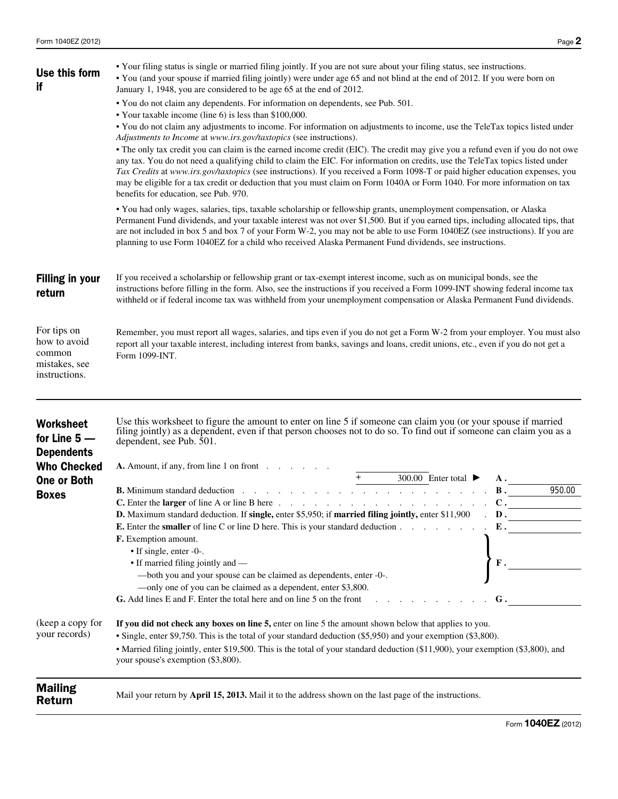

## **IRS Federal Income Tax Form for Tax Year 2012**

(Jan. 1, 2012 - Dec. 31, 2012)

You can prepare and efile this tax form as part of your 2012 Tax Return from:

## **Early Jan. 2013, until late October, 2013**

You will just need to answer a few tax questions and the efile.com software will select the correct tax forms for you.

[You can start, prepare, and efile your tax return now](http://www.efile.com/)

---------------------------------------------------- **Important Notice**

**If you need to file a 2012 Tax Return after October 2013 you have the following options:**

**1. After October 2013 you can no longer efile a 2012 Tax Return**

**2. You can download this form and [mail it to the IRS](http://www.efile.com/where-to-mail-tax-return-form-irs-mailing-address-for-refund/)**

**3.** [Work with an efile.com LIVE TaxPro \(Accountant/CPA\) online](http://www.efile.com/tax-preparer/start-working-with-a-tax-pro/)

----------------------------------------------------



If you need to prepare tax returns for all other Tax Years please visit this page:

[Forms for back taxes or previous year tax returns](http://www.efile.com/federal-income-tax-return-forms-prior-past-previous-irs-years/)

OR

## [You can work with an efile.com LIVE TaxPro online](http://www.efile.com/tax-preparer/start-working-with-a-tax-pro/)

- Find a wide range of current [IRS Tax Publications](http://www.efile.com/irs-publication/irs-publications/) on efile.com.
- View a complete list of **Federal Tax Forms** that can be prepared online and efiled together with [State Tax Forms.](http://www.efile.com/state-tax/state-income-tax/)
- Find many relevant Tax Tools here e.g. TaxStimator, Head of Household, Dependent, Qualifying Relative Educators. [efile.com Tax Tools, Educators and Estimators](http://www.efile.com/tax-estimate-calculation-free-help-advice-app-tools/)
- Get online [answers to your tax questions.](http://www.efile.com/tax-help/tax-help/)
- If you have further questions, please [contact an efile.com support representative.](http://www.efile.com/contact)
- Work with a [tax professional LIVE online](http://www.efile.com/tax-preparer/start-working-with-a-tax-pro/) to prepare your return.